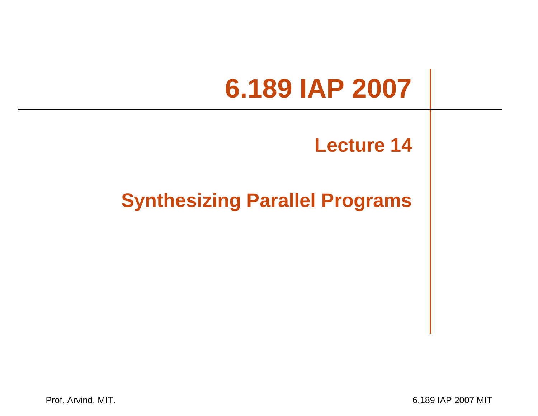### **6.189 IAP 2007**

### **Lecture 14**

### **Synthesizing Parallel Programs**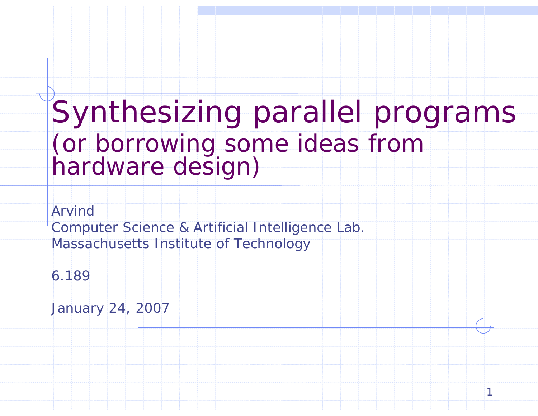# Synthesizing parallel programs (or borrowing some ideas from hardware design)

1

Arvind

Computer Science & Artificial Intelligence Lab. Massachusetts Institute of Technology

6.189

January 24, 2007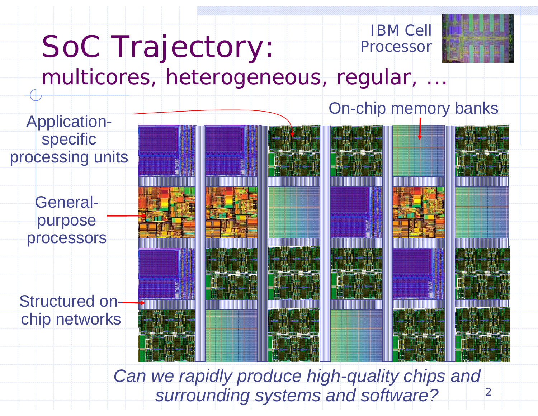# SoC Trajectory:



### *multicores, heterogeneous, regular, ...*

On-chip memory banks

 $\overline{2}$ 

Structured onchip networks Generalpurpose processors Applicationspecific processing units

> *Can we rapidly produce high-quality chips and surrounding systems and software?*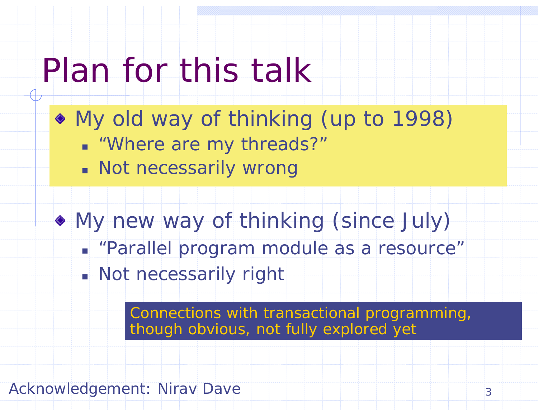## Plan for this talk

- My old way of thinking (up to 1998)
	- "Where are my threads?"
	- **Not necessarily wrong**
- My new way of thinking (since July)
	- "Parallel program module as a resource"
	- Not necessarily right

Connections with transactional programming, though obvious, not fully explored yet

Acknowledgement: Nirav Dave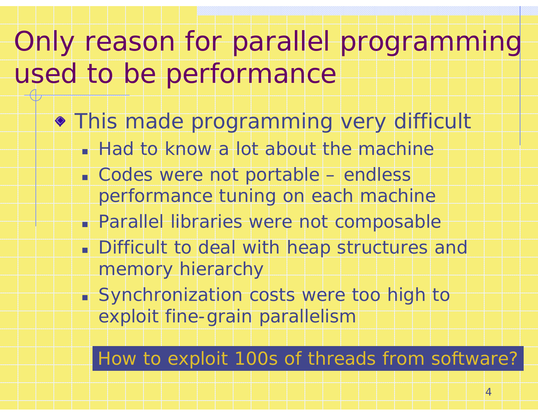### Only reason for parallel programming used to be performance

- This made programming very difficult
	- **Had to know a lot about the machine**
	- Codes were not portable endless performance tuning on each machine
	- Parallel libraries were not composable
	- **Difficult to deal with heap structures and** memory hierarchy
	- Synchronization costs were too high to exploit fine-grain parallelism

#### How to exploit 100s of threads from software?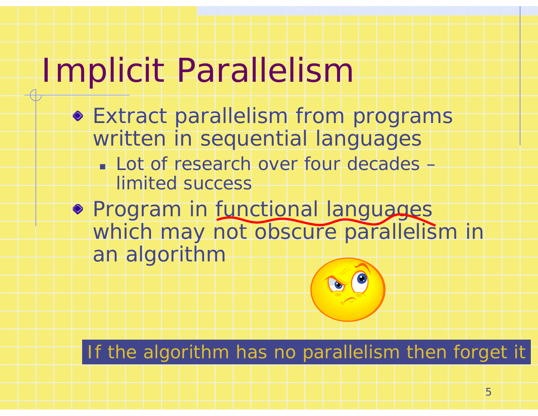# Implicit Parallelism

- Extract parallelism from programs written in sequential languages
	- Lot of research over four decades limited success
- **Program in functional languages** which may not obscure parallelism in an algorithm

If the algorithm has no parallelism then forget it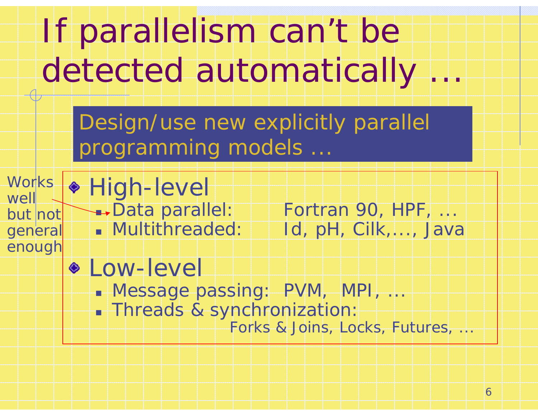

6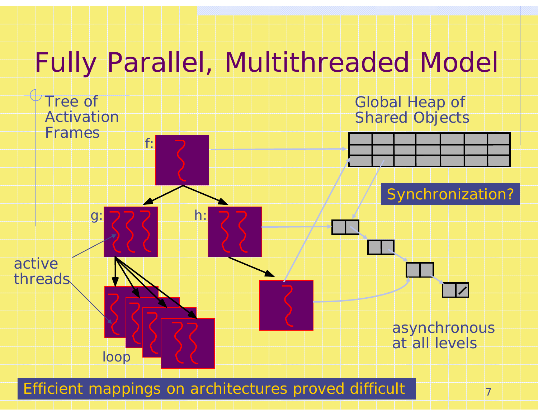### Fully Parallel, Multithreaded Model



Efficient mappings on architectures proved difficult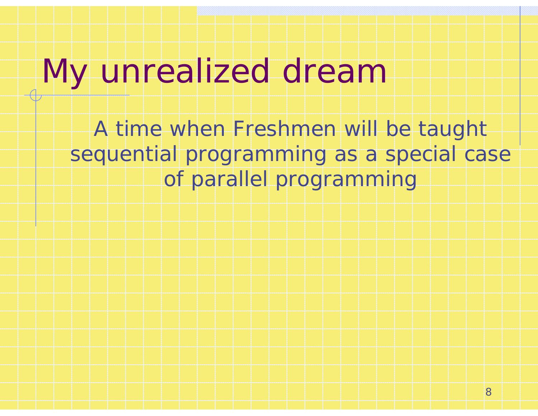## *My unrealized dream*

*A time when Freshmen will be taught sequential programming as a special case of parallel programming*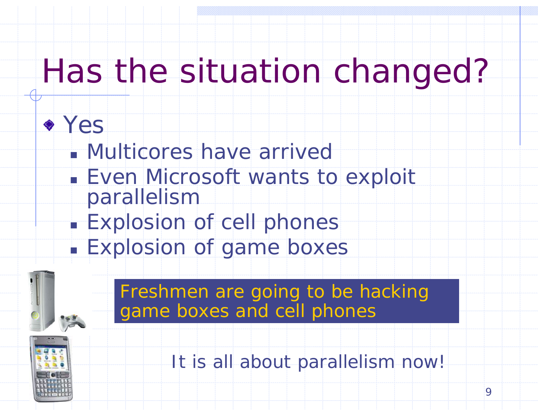## Has the situation changed?

### Yes

- Multicores have arrived
- **Even Microsoft wants to exploit** parallelism
- **Explosion of cell phones**
- П **Explosion of game boxes**

Freshmen are going to be hacking game boxes and cell phones



It is all about parallelism now!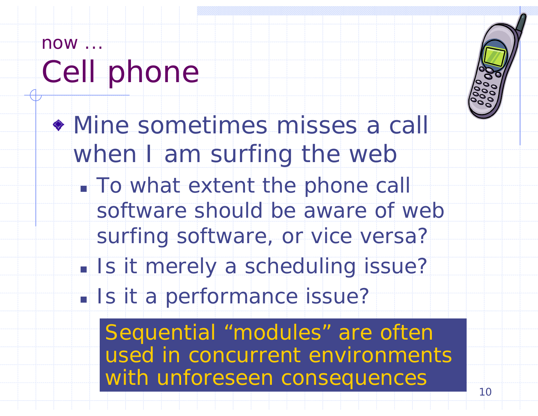### *now ...*Cell phone

- Mine sometimes misses a call when I am surfing the web
	- **To what extent the phone call** software should be aware of web surfing software, or vice versa?
	- I. **Is it merely a scheduling issue?**
	- **Is it a performance issue?**

Sequential "modules" are often used in concurrent environments with unforeseen consequences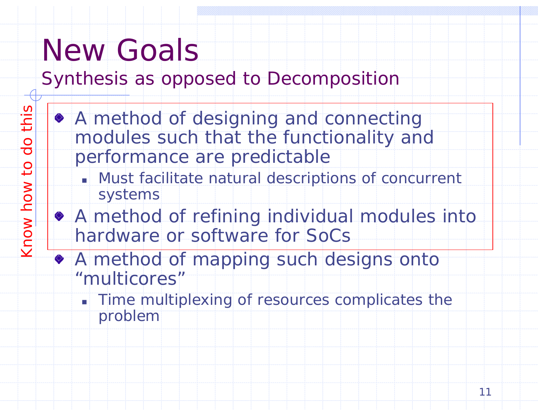### New Goals

*Synthesis* as opposed to *Decomposition*

- A method of designing and connecting modules such that the functionality and performance are predictable
	- Must facilitate natural descriptions of concurrent systems
- A method of refining individual modules into hardware or software for SoCs
- A method of mapping such designs onto "multicores"
	- **Time multiplexing of resources complicates the** problem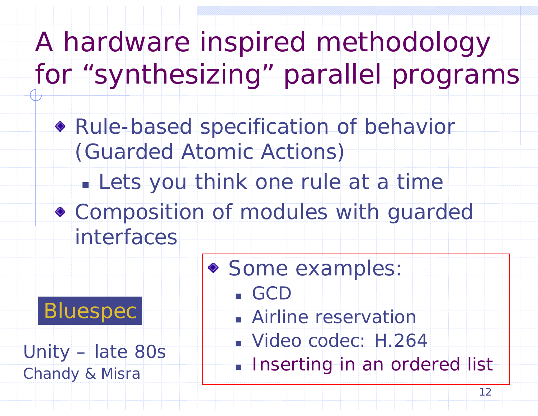A hardware inspired methodology for "synthesizing" parallel programs

Rule-based specification of behavior (Guarded Atomic Actions)

p. Lets you think one *rule* at a time

Composition of modules with guarded interfaces

GCD

◆ Some examples:

**Bluespec** 

Unity – late 80s *Chandy & Misra*

Airline reservation

Video codec: H.264

**Inserting in an ordered list**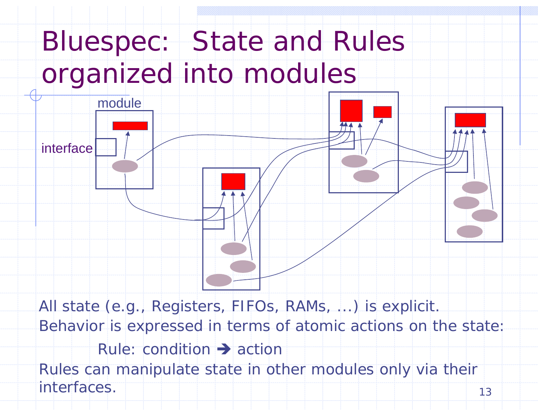

13*Behavior* is expressed in terms of atomic actions on the state: Rule: condition  $\rightarrow$  action Rules can manipulate state in other modules only *via* their *interfaces*.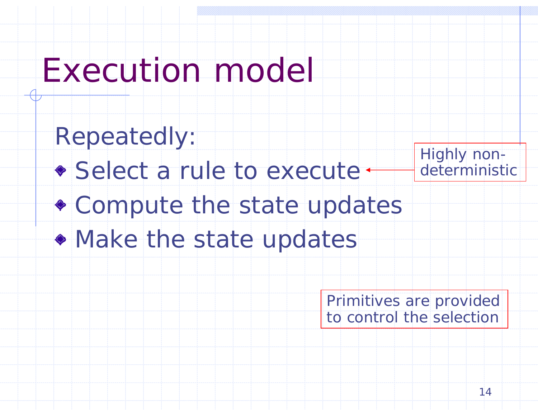## Execution model

*Repeatedly:* Select a rule to execute · Compute the state updates • Make the state updates Highly nondeterministic

> Primitives are provided to control the selection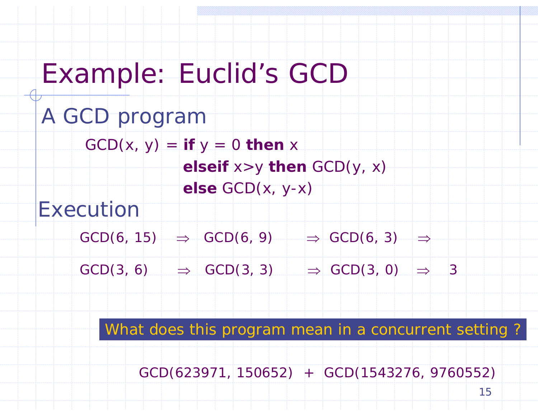A GCD program  $GCD(x, y) = if y = 0$  then x *elseif* x>y *then* GCD(y, x) *else* GCD(x, y-x) Example: Euclid's GCD  $GCD(6, 15)$   $\Rightarrow$   $GCD(6, 9)$   $\Rightarrow$   $GCD(6, 3)$   $\Rightarrow$  $GCD(3, 6)$   $\Rightarrow$   $GCD(3, 3)$   $\Rightarrow$   $GCD(3, 0)$   $\Rightarrow$  3 Execution

What does this program mean in a concurrent setting ?

GCD(623971, 150652) + GCD(1543276, 9760552)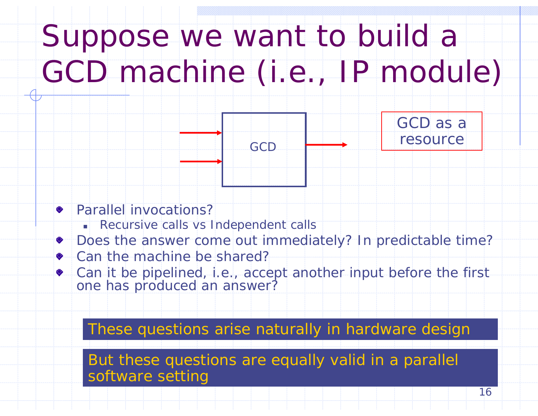# Suppose we want to build a GCD machine (i.e., IP module)

GCD

GCD as a resource

#### Parallel invocations?

- г Recursive calls vs Independent calls
- Does the answer come out immediately? In predictable time?
- Can the machine be shared?
- Can it be pipelined, i.e., accept another input before the first one has produced an answer?

#### These questions arise naturally in hardware design

But these questions are equally valid in a parallel software setting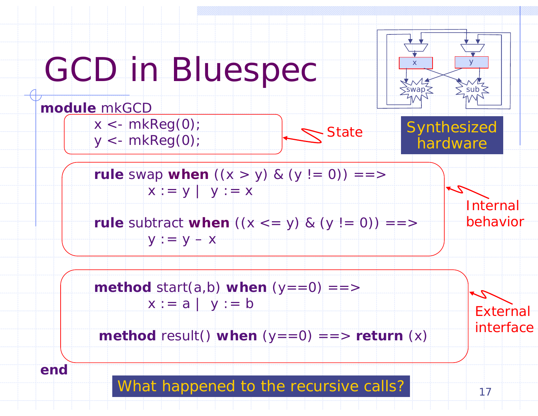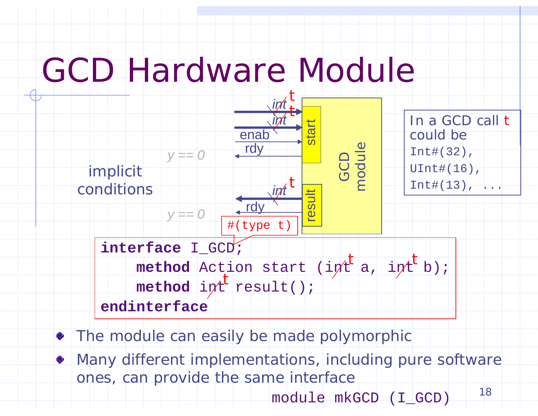### GCD Hardware Module



- The module can easily be made polymorphic
- Many different implementations, *including pure software*   $\Diamond$ *ones*, can provide the same interface 18

module mkGCD (I\_GCD)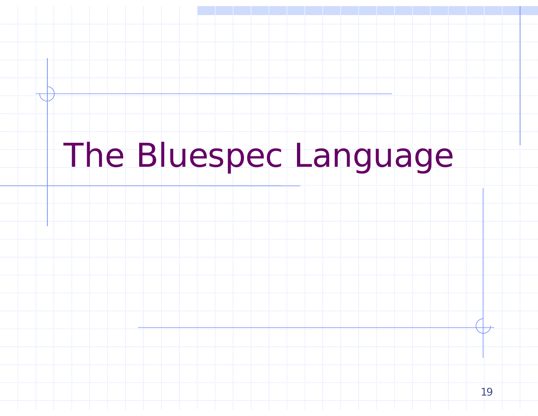# The Bluespec Language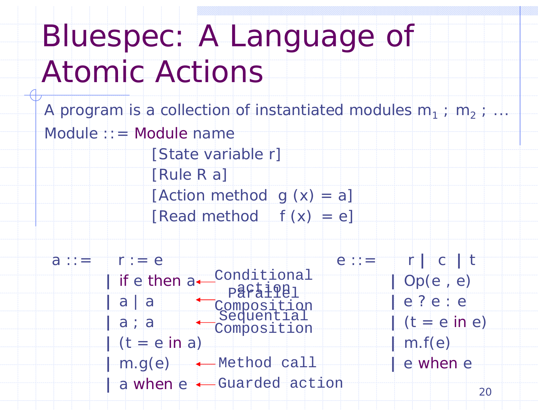# Bluespec: A Language of Atomic Actions

20A program is a collection of instantiated modules  $m_1$  ;  $m_2$  ;  $\dots$ Module ::= Module name [State variable r] [Rule R a] [Action method  $g(x) = a$ ] [Read method  $f(x) = e$ ] e ::= r **|** <sup>c</sup>**|** <sup>t</sup> **|** Op(e , e) **|** e ? e : e **|** (t = e in e) **|** m.f(e) **|** e when e a ::= r :=  $e$ **|** if e then <sup>a</sup> Conditional **|** a | a **|** a ; a **|** (t = e in a) **|** m.g(e) Method call **|** a when e Guarded actionparaiqul<br>Composition<br>Sequential Composition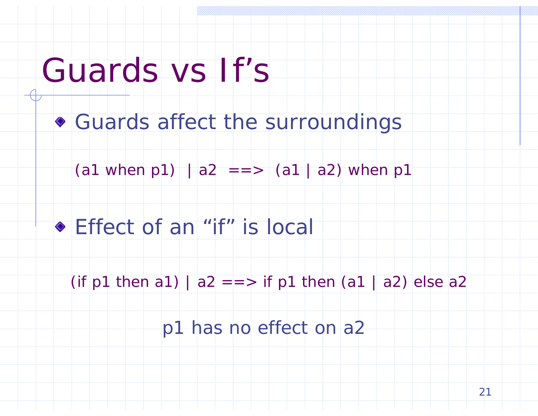### Guards vs If's

Guards affect the surroundings

 $(a1$  when p1) |  $a2$  = = >  $(a1$  | a2) when p1

Effect of an "if" is local

(if p1 then a1) |  $a2 ==$  if p1 then (a1 | a2) else a2

*p1 has no effect on a2*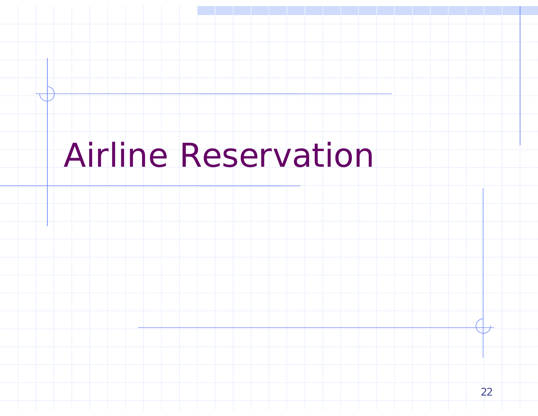## Airline Reservation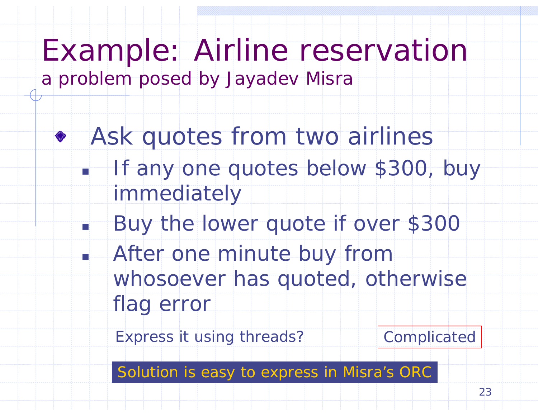### Example: Airline reservation

*a problem posed by Jayadev Misra*

TÌ

- Ask quotes from two airlines
	- F If any one quotes below \$300, buy immediately
		- Buy the lower quote if over \$300
	- L. After one minute buy from whosoever has quoted, otherwise flag error

Express it using threads? Complicated

Solution is easy to express in Misra's ORC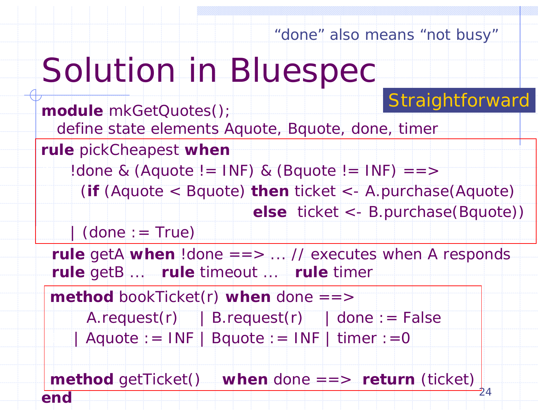"done" also means "not busy"

# Solution in Bluespec

### Straightforward

*module* mkGetQuotes(); *define state elements* Aquote, Bquote, done, timer *rule* getA *when* !done ==> ... // executes when A responds *rule* getB ... *rule* timeout ... *rule* timer *method* bookTicket(r) *when* done ==>  $A.readuest(r)$  | B.request(r) | done : = False  $|$  Aquote : = INF  $|$  Bquote : = INF  $|$  timer : = 0 *rule* pickCheapest *when*  $!$  done & (Aquote  $!=$  INF) & (Bquote  $!=$  INF)  $==$ (*if* (Aquote < Bquote) *then* ticket <- A.purchase(Aquote) *else* ticket <- B.purchase(Bquote))  $\vert$  (done : = True)

24 *endmethod* getTicket() *when* done ==> *return* (ticket)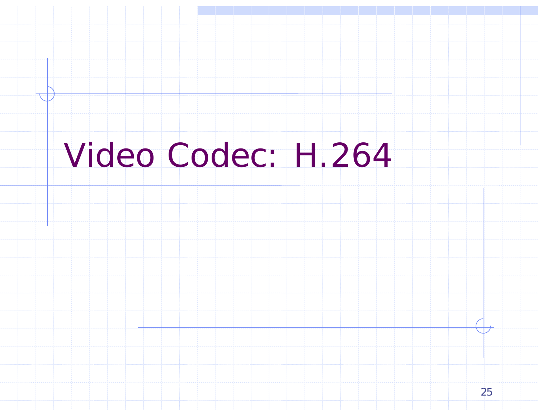## Video Codec: H.264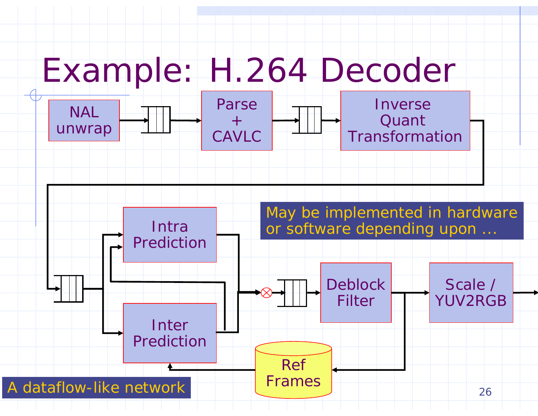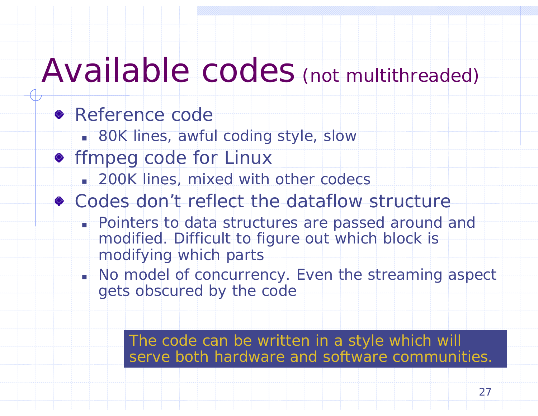### Available codes (*not multithreaded* )

### **Reference code**

- 80K lines, awful coding style, slow
- **•** ffmpeg code for Linux
	- **200K lines, mixed with other codecs**
- Codes don't reflect the dataflow structure
	- Pointers to data structures are passed around and modified. Difficult to figure out which block is modifying which parts
	- No model of concurrency. Even the streaming aspect gets obscured by the code

The code can be written in a style which will serve both hardware and software communities.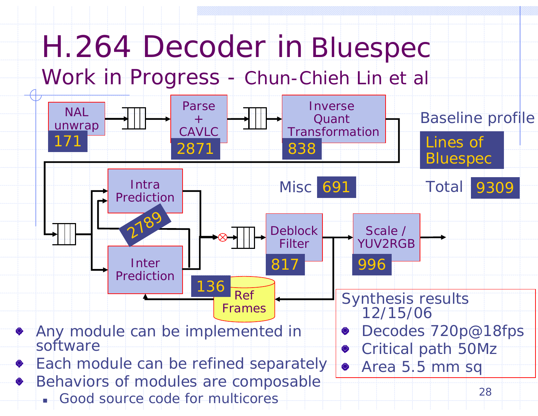## H.264 Decoder in Bluespec

### *Work in Progress - Chun-Chieh Lin et al*